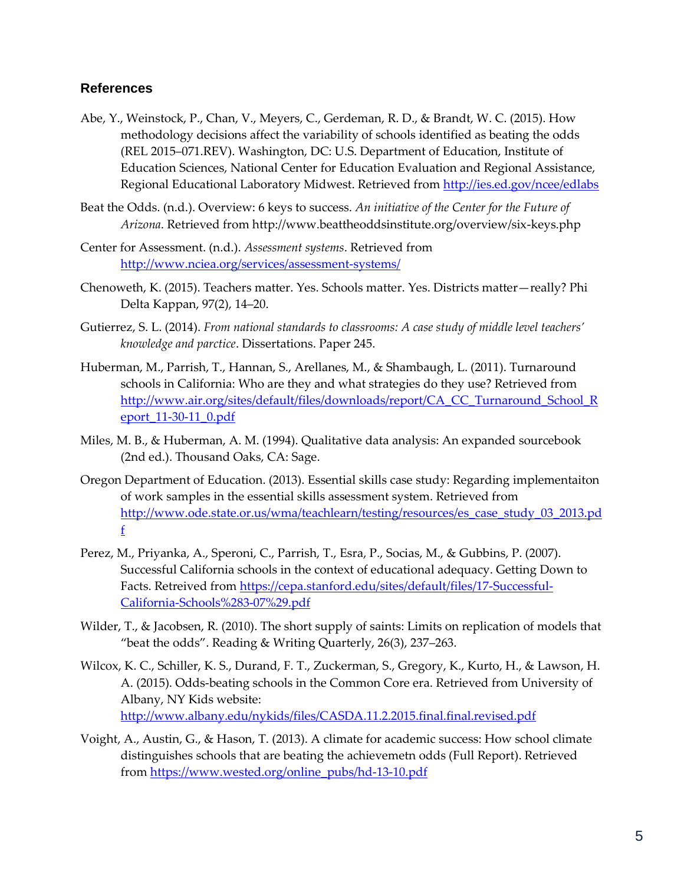## **References**

- Abe, Y., Weinstock, P., Chan, V., Meyers, C., Gerdeman, R. D., & Brandt, W. C. (2015). How methodology decisions affect the variability of schools identified as beating the odds (REL 2015–071.REV). Washington, DC: U.S. Department of Education, Institute of Education Sciences, National Center for Education Evaluation and Regional Assistance, Regional Educational Laboratory Midwest. Retrieved from http://ies.ed.gov/ncee/edlabs
- Beat the Odds. (n.d.). Overview: 6 keys to success. *An initiative of the Center for the Future of Arizona*. Retrieved from http://www.beattheoddsinstitute.org/overview/six-keys.php
- Center for Assessment. (n.d.). *Assessment systems*. Retrieved from <http://www.nciea.org/services/assessment-systems/>
- Chenoweth, K. (2015). Teachers matter. Yes. Schools matter. Yes. Districts matter—really? Phi Delta Kappan, 97(2), 14–20.
- Gutierrez, S. L. (2014). *From national standards to classrooms: A case study of middle level teachers' knowledge and parctice*. Dissertations. Paper 245.
- Huberman, M., Parrish, T., Hannan, S., Arellanes, M., & Shambaugh, L. (2011). Turnaround schools in California: Who are they and what strategies do they use? Retrieved from [http://www.air.org/sites/default/files/downloads/report/CA\\_CC\\_Turnaround\\_School\\_R](http://www.air.org/sites/default/files/downloads/report/CA_CC_Turnaround_School_Report_11-30-11_0.pdf) [eport\\_11-30-11\\_0.pdf](http://www.air.org/sites/default/files/downloads/report/CA_CC_Turnaround_School_Report_11-30-11_0.pdf)
- Miles, M. B., & Huberman, A. M. (1994). Qualitative data analysis: An expanded sourcebook (2nd ed.). Thousand Oaks, CA: Sage.
- Oregon Department of Education. (2013). Essential skills case study: Regarding implementaiton of work samples in the essential skills assessment system. Retrieved from [http://www.ode.state.or.us/wma/teachlearn/testing/resources/es\\_case\\_study\\_03\\_2013.pd](http://www.ode.state.or.us/wma/teachlearn/testing/resources/es_case_study_03_2013.pdf) [f](http://www.ode.state.or.us/wma/teachlearn/testing/resources/es_case_study_03_2013.pdf)
- Perez, M., Priyanka, A., Speroni, C., Parrish, T., Esra, P., Socias, M., & Gubbins, P. (2007). Successful California schools in the context of educational adequacy. Getting Down to Facts. Retreived fro[m https://cepa.stanford.edu/sites/default/files/17-Successful-](https://cepa.stanford.edu/sites/default/files/17-Successful-California-Schools%283-07%29.pdf)[California-Schools%283-07%29.pdf](https://cepa.stanford.edu/sites/default/files/17-Successful-California-Schools%283-07%29.pdf)
- Wilder, T., & Jacobsen, R. (2010). The short supply of saints: Limits on replication of models that "beat the odds". Reading & Writing Quarterly, 26(3), 237–263.
- Wilcox, K. C., Schiller, K. S., Durand, F. T., Zuckerman, S., Gregory, K., Kurto, H., & Lawson, H. A. (2015). Odds-beating schools in the Common Core era. Retrieved from University of Albany, NY Kids website: <http://www.albany.edu/nykids/files/CASDA.11.2.2015.final.final.revised.pdf>
- Voight, A., Austin, G., & Hason, T. (2013). A climate for academic success: How school climate distinguishes schools that are beating the achievemetn odds (Full Report). Retrieved from [https://www.wested.org/online\\_pubs/hd-13-10.pdf](https://www.wested.org/online_pubs/hd-13-10.pdf)